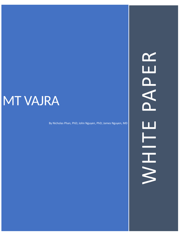# **MT VAJRA**

By Nicholas Phan, PhD; John Nguyen, PhD; James Nguyen, MD

WHITE PAPERPAPER WHITE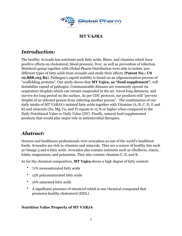

# **MT VAJRA**

# *Introduction:*

The healthy Avocado has nutrients such fatty acids, fibers, and vitamins which have positive effects on cholesterol, blood pressure, liver, as well as prevention of infection. Mettitech group together with Global Pharm Distribution were able to isolate 300 different types of fatty acids from avocado and study their effects (**Patent No.: US 10,888,105 B2**). Pathogen's capsid stability is based on an oligomerization process of "scaffolding proteins". Our study shows that **MT Vajra, as "food supplement",** will destabilize capsid of pathogen. Communicable diseases are commonly spread via respiratory droplets which can remain suspended in the air, travel long distances, and survive for long period on the surface. As per CDC protocol, our products will "prevent droplet of an infected person from infecting another person". The combination of our daily intake of MT VARJA's isolated fatty acids together with Vitamins (A, B, C, D, E and K) and minerals (Zn, Mg, Ca, and P) equate to 15 % or higher when compared to the Daily Nutritional Value or Daily Value (DV). Finally, natural food supplemental products that would play major role in antimicrobial therapies.

# *Abstract:*

Doctors and healthcare professionals view avocadoes as one of the world's healthiest foods. Avocados are rich in vitamins and minerals. They are a source of healthy fats such as Omega 3 and 6 fatty acids. Avocados also contain nutrients such as riboflavin, niacin, folate, magnesium, and potassium. They also contain vitamins C, E, and K.

As for the chemical composition, **MT Vajra** shows a high degree of fatty content:

- 71% monosaturated fatty acids
- 13% polyunsaturated fatty acids
- 16% saturated fatty acids
- A significant presence of sitosterol which is one chemical compound that promotes healthy cholesterol (HDL)

## **Nutrition Value Property of MT VARJA**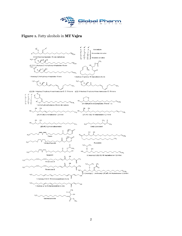

## **Figure 1.** Fatty alcohols in **MT Vajra**

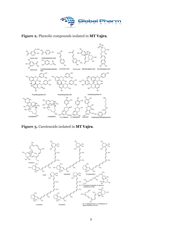





**Figure 3.** Carotenoids isolated in **MT Vajra**.

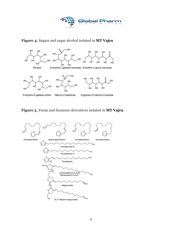

# **Figure 4.** Sugars and sugar alcohol isolated in **MT Vajra**



## **Figure 5.** Furan and furanone derivatives isolated in **MT Vajra**.

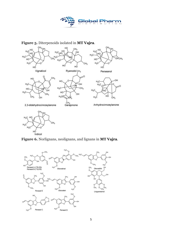



#### **Figure 5.** Diterpenoids isolated in **MT Vajra**.



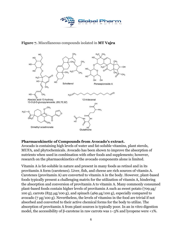

## **Figure 7.** Miscellaneous compounds isolated in **MT Vajra**



#### **Pharmacokinetic of Compounds from Avocado's extract.**

Avocado is containing high levels of water and fat-soluble vitamins, plant sterols, MUFA, and phytochemicals. Avocado has been shown to improve the absorption of nutrients when used in combination with other foods and supplements; however, research on the pharmacokinetics of the avocado components alone is limited.

Vitamin A is fat-soluble in nature and present in many foods as retinol and in its provitamin A form (carotenes). Liver, fish, and cheese are rich sources of vitamin A. Carotenes (provitamin A) are converted to vitamin A in the body. However, plant-based foods typically present a challenging matrix for the utilization of vitamin A, hindering the absorption and conversion of provitamin A to vitamin A. Many commonly consumed plant-based foods contain higher levels of provitamin A such as sweet potato (709 µg/ 100 g), carrots (835 µg/100 g), and spinach (469 µg/100 g), especially compared to avocado (7 µg/100 g). Nevertheless, the levels of vitamins in the food are trivial if not absorbed and converted to their active chemical forms for the body to utilize. The absorption of provitamin A from plant sources is typically poor. In an in vitro digestion model, the accessibility of β-carotene in raw carrots was 1–3% and lycopene were <1%.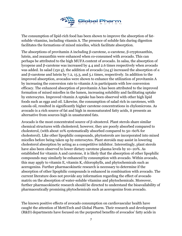

The consumption of lipid-rich food has been shown to improve the absorption of fatsoluble vitamins, including vitamin A. The presence of soluble fats during digestion facilitates the formations of mixed micelles, which facilitate absorption.

The absorptions of provitamin A including β-carotene,  $α$ -carotene, β-cryptoxanthin, lutein, and zeaxanthin were enhanced when co-consumed with avocado. This can perhaps be attributed to the high MUFA content of avocado. In salsa, the absorption of lycopene and β-carotene was increased by 4.4 and 2.6 times respectively when avocado was added. In salad (150 g), the addition of avocado (24 g) increased the absorption of  $\alpha$ and β-carotene and lutein by 7.2, 15.3, and 5.1 times, respectively. In addition to the improved absorption, avocados were shown to enhance the utilization of provitamin A by increasing the conversion rate to vitamin A in participants with low conversion efficacy. The enhanced absorption of provitamin A has been attributed to the improved formation of mixed micelles in the lumen, increasing solubility and facilitating uptake by enterocytes. Improved vitamin A uptake has been observed with other high lipid foods such as eggs and oil. Likewise, the consumption of salad rich in carotenes, with canola oil, resulted in significantly higher carotene concentrations in chylomicrons. As avocado is a rich source of fat and high in monosaturated fatty acids, it presents an alternative from sources high in unsaturated fats.

Avocado is the most concentrated source of β-sitosterol. Plant sterols share similar chemical structures with cholesterol; however, they are poorly absorbed compared to cholesterol, (with about 10% systematically absorbed compared to 50–60% for cholesterol). Like other lipophilic compounds, phytosterols are incorporated into mixed micelles before being taken up by enterocytes. Plant steroids may assist in lowering cholesterol absorption by acting as a competitive inhibitor. Interestingly, plant sterols have also been observed to lower dietary carotene plasma levels by 10–20%. As established for vitamin A and carotene, it is likely that the absorption of other lipophilic compounds may similarly be enhanced by consumption with avocado. Within avocado, this may apply to vitamin E, vitamin K, chlorophylls, and phytochemicals such as acerogenins. Further pharmacokinetic research is necessary to determine if the absorption of other lipophilic compounds is enhanced in combination with avocado. The current literature does not provide any information regarding the effect of avocado matrix on the absorption of water-soluble vitamins and phytochemicals. Moreover, further pharmacokinetic research should be directed to understand the bioavailability of pharmaceutically promising phytochemicals such as acerogenins from avocado.

The known positive effects of avocado consumption on cardiovascular health have caught the attention of MettiTech and Global Pharm. Their research and development (R&D) departments have focused on the purported benefits of avocados' fatty acids in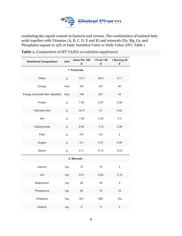

combating the capsid content in bacteria and viruses. The combination of isolated fatty acids together with Vitamins (A, B, C, D, E and K) and minerals (Zn, Mg, Ca, and Phosphate) equate to 15% of Daily Nutrition Value or Daily Value (DV). Table 1

**Table 1.** Composition of MT VAJRA as nutrition supplement

| <b>Nutritional Composition</b>    | Unit | Value Per 100<br>g | 1 Fruit 136<br>g | 1 Serving 30<br>$\boldsymbol{g}$ |  |  |  |  |  |
|-----------------------------------|------|--------------------|------------------|----------------------------------|--|--|--|--|--|
| 1. Proximate                      |      |                    |                  |                                  |  |  |  |  |  |
| Water                             | g    | 72.3               | 98.4             | 21.7                             |  |  |  |  |  |
| Energy                            | kcal | 167                | 227              | 50                               |  |  |  |  |  |
| Energy (insoluble fiber adjusted) | kcal | 148                | 201              | 44                               |  |  |  |  |  |
| Protein                           | g    | 1.96               | 2.67             | 0.59                             |  |  |  |  |  |
| Total lipid (fat)                 | g    | 15.41              | 21               | 4.62                             |  |  |  |  |  |
| Ash                               | g    | 1.66               | 2.26             | 0.5                              |  |  |  |  |  |
| Carbohydrate                      | g    | 8.64               | 11.8             | 2.59                             |  |  |  |  |  |
| Fiber                             | g    | 6.8                | 9.2              | $\overline{2}$                   |  |  |  |  |  |
| Sugars                            | g    | 0.3                | 0.41             | 0.09                             |  |  |  |  |  |
| Starch                            | g    | 0.11               | 0.15             | 0.03                             |  |  |  |  |  |
|                                   |      | 2. Minerals        |                  |                                  |  |  |  |  |  |
| Calcium                           | mg   | 13                 | 18               | $\overline{4}$                   |  |  |  |  |  |
| Iron                              | mg   | 0.61               | 0.83             | 0.18                             |  |  |  |  |  |
| Magnesium                         | mg   | 29                 | 39               | $\mathsf g$                      |  |  |  |  |  |
| Phosphorus                        | mg   | 54                 | 73               | 16                               |  |  |  |  |  |
| Potassium                         | mg   | 507                | 690              | 152                              |  |  |  |  |  |
| Sodium                            | mg   | 8                  | 11               | $\overline{2}$                   |  |  |  |  |  |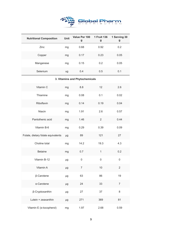

| <b>Nutritional Composition</b>     |    | Value Per 100<br>g             | 1 Fruit 136<br>g | 1 Serving 30<br>g       |
|------------------------------------|----|--------------------------------|------------------|-------------------------|
| Zinc                               |    | 0.68                           | 0.92             | 0.2                     |
| Copper                             | mg | 0.17                           | 0.23             | 0.05                    |
| Manganese                          | mg | 0.15                           | 0.2              | 0.05                    |
| Selenium                           | ug | 0.4                            | 0.5              | 0.1                     |
|                                    |    | 3. Vitamins and Phytochemicals |                  |                         |
| Vitamin C                          | mg | 8.8                            | 12               | 2.6                     |
| Thiamine                           | mg | 0.08                           | 0.1              | 0.02                    |
| Riboflavin                         | mg | 0.14                           | 0.19             | 0.04                    |
| Niacin                             | mg | 1.91                           | 2.6              | 0.57                    |
| Pantothenic acid                   | mg | 1.46                           | $\overline{2}$   | 0.44                    |
| Vitamin B-6                        | mg | 0.29                           | 0.39             | 0.09                    |
| Folate, dietary folate equivalents | μg | 89                             | 121              | 27                      |
| Choline total                      | mg | 14.2                           | 19.3             | 4.3                     |
| <b>Betaine</b>                     | mg | 0.7                            | $\mathbf{1}$     | 0.2                     |
| Vitamin B-12                       | μg | $\mathsf{O}\xspace$            | $\mathbf 0$      | $\mathsf 0$             |
| Vitamin A                          | μg | $\overline{7}$                 | $10$             | $\overline{\mathbf{c}}$ |
| β-Carotene                         | μg | 63                             | 86               | 19                      |
| α-Carotene                         | μg | 24                             | 33               | $\overline{7}$          |
| β-Cryptoxanthin                    | μg | 27                             | 37               | 8                       |
| Lutein + zeaxanthin                | μg | 271                            | 369              | 81                      |
| Vitamin E (a-tocopherol)           | mg | 1.97                           | 2.68             | 0.59                    |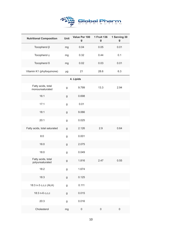

| <b>Nutritional Composition</b>        | Unit | Value Per 100<br>g | 1 Fruit 136<br>g    | 1 Serving 30<br>g |
|---------------------------------------|------|--------------------|---------------------|-------------------|
| Tocopherol β                          | mg   | 0.04               | 0.05                | 0.01              |
| Tocopherol y                          | mg   | 0.32               | 0.44                | 0.1               |
| Tocopherol δ                          | mg   | 0.02               | 0.03                | 0.01              |
| Vitamin K1 (phylloquinone)            | μg   | 21                 | 28.6                | 6.3               |
|                                       |      | 4. Lipids          |                     |                   |
| Fatty acids, total<br>monounsaturated | g    | 9.799              | 13.3                | 2.94              |
| 16:1                                  | g    | 0.698              |                     |                   |
| 17:1                                  | g    | 0.01               |                     |                   |
| 18:1                                  | g    | 9.066              |                     |                   |
| 20:1                                  | g    | 0.025              |                     |                   |
| Fatty acids, total saturated          | g    | 2.126              | 2.9                 | 0.64              |
| 8:0                                   | g    | 0.001              |                     |                   |
| 16:0                                  | g    | 2.075              |                     |                   |
| 18:0                                  | g    | 0.049              |                     |                   |
| Fatty acids, total<br>polyunsaturated | g    | 1.816              | 2.47                | 0.55              |
| 18:2                                  | g    | 1.674              |                     |                   |
| 18:3                                  | g    | 0.125              |                     |                   |
| 18:3 n-3 c,c,c (ALA)                  | g    | 0.111              |                     |                   |
| 18:3 n-6 c,c,c                        | g    | 0.015              |                     |                   |
| 20:3                                  | g    | 0.016              |                     |                   |
| Cholesterol                           | mg   | 0                  | $\mathsf{O}\xspace$ | 0                 |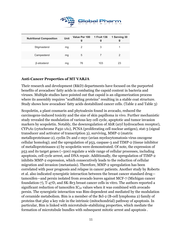

| <b>Nutritional Composition</b> | <b>Unit</b> | Value Per 100 1 Fruit 136<br>g | g   | 1 Serving 30<br>g |
|--------------------------------|-------------|--------------------------------|-----|-------------------|
| Stigmasterol                   | mg          | 2                              | 3   |                   |
| Campesterol                    | mg          | 5                              |     | 2                 |
| β-sitosterol                   | mg          | 76                             | 103 | 23                |

#### **Anti-Cancer Properties of MT VARJA**

Their research and development (R&D) departments have focused on the purported benefits of avocadoes' fatty acids in combating the capsid content in bacteria and viruses. Multiple studies have pointed out that capsid is an oligomerization process where its assembly requires "scaffolding proteins" resulting in a stable coat structure. Study shows how avocadoes' fatty acids destabilized cancer cells. (Table 2 and Table 3)

Scopoletin, a plant coumarin and phytoalexin found in avocado, reduced the carcinogens-induced toxicity and the size of skin papilloma in vivo. Further mechanistic study revealed the modulation of various key cell cycle, apoptotic and tumor invasion markers by scopoletin. Notably, the downregulation of AhR (aryl hydrocarbon receptor), CYP1A1 (cytochrome P450 1A1), PCNA (proliferating cell nuclear antigen), stat-3 (signal transducer and activator of transcription 3), surviving, MMP-2 (matrix metalloproteinase-2), cyclin D1 and c-myc (avian myelocytomatosis virus oncogene cellular homolog); and the upregulation of p53, caspase-3 and TIMP-2 (tissue inhibitor of metalloproteinases-2) by scopoletin were demonstrated. Of note, the expression of p53 and its target genes (~500) regulate a wide range of cellular processes, including apoptosis, cell cycle arrest, and DNA repair. Additionally, the upregulation of TIMP-2 inhibits MMP-2 expression, which consecutively leads to the reduction of cellular migration and invasion (metastasis). Therefore, MMP-2 upregulation has been correlated with poor prognosis and relapse in cancer patients. Another study by Roberts et al. also indicated synergistic interaction between the breast cancer standard drug tamoxifen—and persin isolated from avocado leaves against MCF-7 (Michigan cancer foundation-7), T-47D, and SK-Br3 breast cancer cells in vitro. The authors reported a significant reduction of tamoxifen  $IC_{50}$  values when it was combined with avocado persin. The synergistic interaction was Bim-dependent and mediated by the modulation of ceramide metabolism. Bim is a member of the Bcl-2 (B-cell lymphoma 2) family of proteins that play a key role in the intrinsic (mitochondrial) pathway of apoptosis. In particular, Bim is linked with microtubule-stabilizing properties, which mediate the formation of microtubule bundles with subsequent mitotic arrest and apoptosis .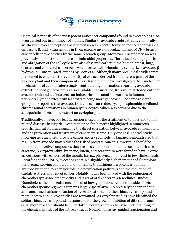

Chemical synthesis of the most potent anticancer compounds found in avocado has also been carried out in a number of studies. Similar to avocado crude extracts, chemically synthesized avocado peptide PaDef defensin was recently found to induce apoptosis via caspase 7, 8, and 9 expressions in K562 chronic myeloid leukaemia and MCF-7 breast cancer cells in two studies by the same research group. Moreover, PaDef defensin was previously demonstrated to have antimicrobial properties. The induction of apoptosis and abrogation of the cell cycle were also observed earlier in the human breast, lung, ovarian, and colorectal cancer cells when treated with chemically synthesized avocado βhydroxy-α,β-unsaturated ketones by Leon et al. Although many preclinical studies were performed to elucidate the cytotoxicity of extracts derived from different parts of the avocado plant and their components, very few of them have investigated their molecular mechanisms of action. Interestingly, contradicting information regarding avocado extract-induced genotoxicity is also available. For instance, Kulkarn et al. found out that avocado fruit and leaf extracts can induce chromosomal aberrations in human peripheral lymphocytes, with leaf extract being more genotoxic. The same research group later reported that avocado fruit extract can reduce cyclophosphamide-mediated chromosomal aberrations in human lymphocytes, which was perhaps due to the antagonistic effects of the extract on cyclophosphamide.

Traditionally, an avocado leaf decoction is used for the treatment of tumors and tumorrelated diseases in Nigeria. Despite their health benefits highlighted in numerous reports, clinical studies examining the direct correlation between avocado consumption and the prevention and treatment of cancer are scarce. Only one case-control study involving 243 men with prostate cancer and 273 controls in Jamaica demonstrated that MUFA from avocado may reduce the risk of prostate cancer. However, it should be noted that bioactive compounds that are also commonly found in avocados such as αcarotene, β-cryptoxanthin, lycopene, lutein, and zeaxanthin were found to have inverse associations with cancers of the mouth, larynx, pharynx, and breast in few clinical trials. According to the USDA, avocados contain a significantly higher amount of glutathione per average serving compared to other fruits. Glutathione is a potent tripeptide antioxidant that plays a major role in detoxification pathways and the reduction of oxidative stress and risk of cancer. Notably, it has been linked with the reduction of chemotherapy-associated toxicity and risks of oral cancer in a few clinical studies. Nonetheless, the molecular mechanism of how glutathione reduces the side effects of chemotherapeutic regimens remains largely speculative. To precisely understand the anticancer mechanisms of action of avocado extracts and their bioactive compounds, more in vitro and in vivo studies are warranted. As very few studies have identified the solitary bioactive compounds responsible for the growth inhibition of different cancer cells, more research should be undertaken to gain a comprehensive understanding of the chemical profiles of the active extracts. Notably, bioassay-guided fractionation and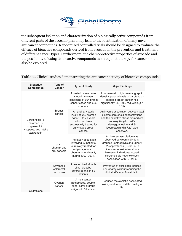

the subsequent isolation and characterization of biologically active compounds from different parts of the avocado plant may lead to the identification of many novel anticancer compounds. Randomized controlled trials should be designed to evaluate the efficacy of bioactive compounds derived from avocado in the prevention and treatment of different cancer types. Furthermore, the chemoprotective properties of avocado and the possibility of using its bioactive compounds as an adjunct therapy for cancer should also be explored.

| <b>Bioactive</b><br><b>Compounds</b>                                                                    | <b>Type of</b><br>Cancer               | <b>Type of Study</b>                                                                                                                          | <b>Major Findings</b>                                                                                                                                                                                                                                                             |
|---------------------------------------------------------------------------------------------------------|----------------------------------------|-----------------------------------------------------------------------------------------------------------------------------------------------|-----------------------------------------------------------------------------------------------------------------------------------------------------------------------------------------------------------------------------------------------------------------------------------|
| Carotenoids- $\alpha$ -<br>carotene, $\beta$ -<br>cryptoxanthin,<br>lycopene, and lutein/<br>zeaxanthin |                                        | A nested case-control<br>study in women<br>consisting of 604 breast<br>cancer cases and 626<br>controls.                                      | In women with high mammographic<br>density, plasma levels of carotenoids<br>reduced breast cancer risk<br>significantly (40-50% reduction, $p <$<br>$0.05$ ).                                                                                                                     |
|                                                                                                         | <b>Breast</b><br>cancer                | An ancillary study<br>involving 207 women<br>ages 18 to 70 years<br>who had been<br>successfully treated for<br>early-stage breast<br>cancer. | An inverse association between total<br>plasma carotenoid concentrations<br>and the oxidative stress biomarkers<br>(urinary 8-hydroxy-2'-<br>deoxyguanosine and 8-<br>isoprostaglandin- $F2\alpha$ ) was<br>observed.                                                             |
|                                                                                                         | Larynx,<br>pharynx and<br>oral cancers | The study population<br>involving 52 patients<br>curatively treated for<br>early-stage larynx,<br>pharynx or oral cavity<br>during 1997-2001. | An inverse association was<br>observed between individual/<br>grouped xanthophylls and urinary<br>$F2$ -isoprostanes ( $F2$ -IsoPs), a<br>biomarker of oxidative stress.<br>However, individual/grouped<br>carotenes did not show such<br>association with F <sub>2</sub> -IsoPs. |
|                                                                                                         | Advanced<br>colorectal<br>carcinoma    | A randomized, double<br>blind, placebo-<br>controlled trial in 52<br>patients.                                                                | Prevented of oxaliplatin-induced<br>neuropathy without reducing the<br>clinical efficacy of oxaliplatin.                                                                                                                                                                          |
| Glutathione                                                                                             | Ovarian<br>cancer                      | A multicenter.<br>randomized, double-<br>blind, parallel group<br>design with 51 women.                                                       | Reduced the cisplatin-associated<br>toxicity and improved the quality of<br>life.                                                                                                                                                                                                 |

**Table 2.** Clinical studies demonstrating the anticancer activity of bioactive compounds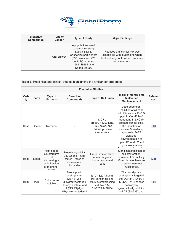

| <b>Bioactive</b><br><b>Compounds</b> | Type of<br>Cancer | <b>Type of Study</b>                                                                                                                                                      | <b>Major Findings</b>                                                                                                  |
|--------------------------------------|-------------------|---------------------------------------------------------------------------------------------------------------------------------------------------------------------------|------------------------------------------------------------------------------------------------------------------------|
|                                      | Oral cancer       | A population-based<br>case-control study<br>involving 1,830<br>Caucasian participants<br>(855 cases and 975)<br>controls) in during<br>1984-1985 in the<br>United States. | Reduced oral cancer risk was<br>associated with glutathione when<br>fruit and vegetable were commonly<br>consumed raw. |

**Table 3.** Preclinical and clinical studies highlighting the anticancer properties.

|                    | <b>Preclinical Studies</b> |                                                                                  |                                                                                                                                             |                                                                                                    |                                                                                                                                                                                                                                                                                                          |                       |  |
|--------------------|----------------------------|----------------------------------------------------------------------------------|---------------------------------------------------------------------------------------------------------------------------------------------|----------------------------------------------------------------------------------------------------|----------------------------------------------------------------------------------------------------------------------------------------------------------------------------------------------------------------------------------------------------------------------------------------------------------|-----------------------|--|
| <b>Varie</b><br>ty | <b>Parts</b>               | <b>Type of</b><br><b>Extracts</b>                                                | <b>Bioactive</b><br><b>Compounds</b>                                                                                                        | <b>Type of Cell Lines</b>                                                                          | <b>Major Findings and</b><br><b>Molecular</b><br><b>Mechanisms of</b>                                                                                                                                                                                                                                    | <b>Referen</b><br>ces |  |
| Hass               | Seeds                      | Methanol                                                                         |                                                                                                                                             | MCF-7<br>breast, H1299 lung,<br>HT29 colon, and<br>LNCaP prostate<br>cancer cells                  | Dose-dependent<br>inhibition of all cells<br>with IC <sub>50</sub> values 19-132<br>ug/mL after 48 h of<br>treatment. In LNCaP<br>prostate cancer cells,<br>the induction of<br>caspase 3-mediated<br>apoptosis, PARP<br>cleavage,<br>downregulation of<br>cyclin D1 and E2, cell<br>cycle arrest at Go/ | [140]                 |  |
| Hass               | Seeds                      | High-speed<br>countercurre<br>nt<br>chromatogra<br>phic fraction<br>of methanol- | Proanthocyanidins<br>B1, B2 and A-type<br>trimer. Traces of<br>abscisic acid<br>glucosides.                                                 | HaCaT immortalized<br>nontumorigenic<br>human epidermal<br>cells                                   | Significant inhibition of<br>cell proliferation,<br>increased LDH activity.<br>Molecular mechanisms<br>of action were not<br>investigated.                                                                                                                                                               | [23]                  |  |
| Hass               | Pulp                       | Chloroform-<br>soluble                                                           | Two aliphatic<br>acetogenins-<br>$(2S, 4S) - 2, 4$<br>dihydroxyheptadec<br>16-enyl acetate] and<br>2 [(2S, 4S)-2, 4-<br>dihydroxyheptadec-1 | 83-01-82CA human<br>oral cancer cell line,<br>MEK overexpressing<br>cell line 83-<br>01-82CA/MEKCA | The two aliphatic<br>acetogenins targeted<br>the EGFR/RAS/RAF/<br>MEK/ERK1/2 cancer<br>pathway by<br>synergistically inhibiting<br>c-RAF (Ser338) and                                                                                                                                                    | [165]                 |  |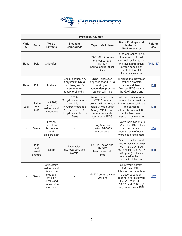

| <b>Preclinical Studies</b> |                                 |                                                                                                           |                                                                                                                               |                                                                                                                                            |                                                                                                                                                                                                    |                       |  |
|----------------------------|---------------------------------|-----------------------------------------------------------------------------------------------------------|-------------------------------------------------------------------------------------------------------------------------------|--------------------------------------------------------------------------------------------------------------------------------------------|----------------------------------------------------------------------------------------------------------------------------------------------------------------------------------------------------|-----------------------|--|
| <b>Varie</b><br>ty         | <b>Parts</b>                    | Type of<br><b>Extracts</b>                                                                                | <b>Bioactive</b><br><b>Compounds</b>                                                                                          | <b>Type of Cell Lines</b>                                                                                                                  | <b>Major Findings and</b><br><b>Molecular</b><br><b>Mechanisms of</b>                                                                                                                              | <b>Referen</b><br>ces |  |
| Hass                       | Pulp                            | Chloroform                                                                                                |                                                                                                                               | 83-01-82CA human<br>oral cancer and<br><b>TE1177</b><br>normal epithelial cell<br>lines                                                    | In the oral cancer cells,<br>the extract induced<br>apoptosis by increasing<br>the levels of reactive<br>oxygen species by<br>twofold to threefold.<br>Apoptosis was not                           | [141, 142]            |  |
| Hass                       | Pulp                            | Acetone                                                                                                   | Lutein, zeaxanthin,<br>β-cryptoxanthin, α-<br>carotene, and $\beta$ -<br>carotene, $\alpha$ -<br>tocopherol and y-            | LNCaP androgen-<br>dependent and PC-3<br>androgen-<br>independent prostate<br>cancer cell lines                                            | Inhibited the growth of<br>both the prostate<br>cancer cell lines.<br>Arrested PC-3 cells at<br>the G <sub>2</sub> /M phase and                                                                    | [24]                  |  |
| Lulu                       | Unripe<br>fruit<br>pulp         | $95\%$ ( $v/v$ )<br>ethanol<br>extracts and<br>its fractions                                              | $1,2,4-$<br>Trihydroxynonadeca<br>ne, 1,2,4-<br>Trihydroxyheptadec-<br>16-ene and 1,2,4-<br>Trihydroxyheptadec-<br>$16$ -yne. | A-549 human lung,<br>MCF-7 human<br>breast, HT-29 human<br>colon, A-498 human<br>Kidney, MIA PaCa-2<br>human pancreatic<br>carcinoma, PC-3 | All three compounds<br>were active against six<br>human tumor cell lines<br>and exhibited<br>selectivity against PC-3<br>cells. Molecular<br>mechanisms were not                                   | $[21]$                |  |
|                            | Seeds                           | Ethanol<br>extract and<br>its hexane<br>and<br>dichlorometh                                               |                                                                                                                               | Lung A549 and<br>gastric BGC823<br>cancer cells                                                                                            | Growth inhibition at 200<br>µg/mL. The IC <sub>50</sub> values<br>and molecular<br>mechanisms of action<br>were not investigated.                                                                  | [166]                 |  |
|                            | Pulp<br>and<br>seed<br>extracts | Lipids                                                                                                    | Fatty acids,<br>hydrocarbon, and<br>sterols.                                                                                  | HCT116 colon and<br>HePG2<br>liver cancer cell<br>lines                                                                                    | Seed extract showed<br>greater activity against<br>HCT116 ( $IC_{50}$ < 4 µg/<br>mL) and HePG2 (IC <sub>50</sub> <<br>20 µg/mL) cell lines<br>compared to the pulp<br>extract. Molecular           | [98]                  |  |
|                            | Seeds                           | Chloroform<br>extracts and<br>its soluble<br>methanol<br>fraction<br>(FML) and<br>non-soluble<br>methanol |                                                                                                                               | MCF-7 breast cancer<br>cell line                                                                                                           | Chloroform extract,<br>FML, and FTML<br>inhibited cell growth in<br>a dose-dependent<br>manner and displayed<br>IC <sub>50</sub> values of 94.87,<br>34.52, and 66.03 µg/<br>mL, respectively. FML | [167]                 |  |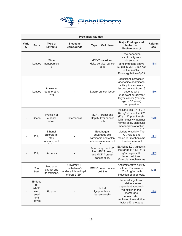

| <b>Preclinical Studies</b> |                                                          |                                                  |                                                                       |                                                                               |                                                                                                                                                                                                         |                       |  |
|----------------------------|----------------------------------------------------------|--------------------------------------------------|-----------------------------------------------------------------------|-------------------------------------------------------------------------------|---------------------------------------------------------------------------------------------------------------------------------------------------------------------------------------------------------|-----------------------|--|
| <b>Varie</b><br>ty         | <b>Parts</b>                                             | Type of<br><b>Extracts</b>                       | <b>Bioactive</b><br><b>Compounds</b>                                  | <b>Type of Cell Lines</b>                                                     | <b>Major Findings and</b><br><b>Molecular</b><br><b>Mechanisms of</b>                                                                                                                                   | <b>Referen</b><br>ces |  |
|                            | Leaves                                                   | Silver<br>nanoparticle<br>s                      |                                                                       | MCF-7 breast and<br>HeLa cervical cancer<br>cells                             | Dose-dependent<br>cytotoxicity was<br>observed at<br>concentrations above<br>50 µM in MCF-7 but not<br>in HeLa cells.<br>Downregulation of p53                                                          | $[168]$               |  |
|                            | Leaves                                                   | Aqueous-<br>ethanol (5%<br>V/V)                  |                                                                       | Larynx cancer tissue                                                          | Significant increase in<br>adenosine deaminase<br>activity in cancerous<br>tissues derived from 13<br>patients who<br>underwent surgery for<br>larynx cancer (median<br>age of 57 years)<br>compared to | 169                   |  |
|                            | Seeds                                                    | Fraction of<br>ethanol<br>extract                | Triterpenoid                                                          | MCF-7 breast and<br>HepG2 liver cancer<br>cells                               | Inhibited MCF-7 ( $IC_{50}$ =<br>62 µg/mL) and HepG2<br>$(IC_{50} = 12 \mu g/mL)$ cells<br>with no activity against<br>normal cells. Molecular<br>mechanisms of action                                  | $[170]$               |  |
|                            | Pulp                                                     | Ethanol,<br>chloroform,<br>ethyl<br>acetate, and |                                                                       | Esophageal<br>squamous cell<br>carcinoma and colon<br>adenocarcinoma cell     | Moderate activity. The<br>IC <sub>50</sub> values and<br>molecular mechanisms<br>of action were not                                                                                                     | $[171]$               |  |
|                            | Pulp                                                     | Aqueous                                          |                                                                       | A549 lung, HepG-2<br>liver, HT-29 colon,<br>and MCF-7 breast<br>cancer cells. | Exhibited LC <sub>50</sub> values in<br>the range of 13.3-54.5<br>µg/mL against the<br>tested cell lines.<br>Molecular mechanisms                                                                       | [172]                 |  |
|                            | Root<br>bark                                             | Methanol<br>extract and<br>its fractions.        | 4-hydroxy-5-<br>methylene-3-<br>undecyclidenedihydr<br>ofuran-2 (3H)- | MCF-7 breast cancer<br>cell line                                              | Antiproliferative activity<br>with an $IC_{50}$ value of<br>20.48 µg/mL with<br>induction of apoptosis.                                                                                                 | [36]                  |  |
|                            | Endoca<br>rp,<br>whole<br>seed.<br>seed<br>and<br>leaves | Ethanol                                          |                                                                       | Jurkat<br>lymphoblastic<br>leukemia cells                                     | Induced significant<br>oxidative stress-<br>dependent apoptosis<br>via mitochondrial<br>membrane<br>depolarization.<br>Activated transcription<br>factor p53, protease                                  | [138]                 |  |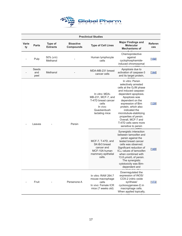

| <b>Preclinical Studies</b> |                      |                              |                                      |                                                                                                                   |                                                                                                                                                                                                                                                                                                                                                              |                       |  |  |
|----------------------------|----------------------|------------------------------|--------------------------------------|-------------------------------------------------------------------------------------------------------------------|--------------------------------------------------------------------------------------------------------------------------------------------------------------------------------------------------------------------------------------------------------------------------------------------------------------------------------------------------------------|-----------------------|--|--|
| Varie<br>ty                | <b>Parts</b>         | Type of<br><b>Extracts</b>   | <b>Bioactive</b><br><b>Compounds</b> | <b>Type of Cell Lines</b>                                                                                         | <b>Major Findings and</b><br><b>Molecular</b><br><b>Mechanisms of</b>                                                                                                                                                                                                                                                                                        | <b>Referen</b><br>ces |  |  |
|                            | Pulp                 | $50\%$ ( $v/v$ )<br>Methanol |                                      | Human lymphocyte<br>cells                                                                                         | Chemoprotective<br>against<br>cyclophosphamide-<br>induced chromosomal                                                                                                                                                                                                                                                                                       | [158]                 |  |  |
|                            | Seeds<br>and<br>peel | Methanol                     |                                      | MDA-MB-231 breast<br>cancer cells                                                                                 | Apoptosis due to<br>activation of caspase-3<br>and its target protein,                                                                                                                                                                                                                                                                                       | $[144]$               |  |  |
|                            | Leaves               |                              | Persin                               | In vitro: MDA-<br>MB-231, MCF-7, and<br>T-47D breast cancer<br>cells<br>In vivo:<br>Quackenbush<br>lactating mice | In vitro: Persin<br>selectively arrested<br>cells at the G <sub>2</sub> /M phase<br>and induced caspase-<br>dependent apoptosis.<br>Apoptosis was<br>dependent on the<br>expression of Bim<br>protein, which also<br>indicated the<br>microtubule-stabilizing<br>properties of persin.<br>Overall, MCF-7 and<br>T-47D cells were more<br>sensitive to persin | $[139]$               |  |  |
|                            |                      |                              |                                      | MCF-7, T-47D, and<br>SK-Br <sub>3</sub> breast<br>cancer and<br>MCF-10A human<br>mammary epithelial<br>cells.     | Synergistic interaction<br>between tamoxifen and<br>persin against the<br>tested breast cancer<br>cells was observed.<br>Significant reduction of<br>IC <sub>50</sub> values of tamoxifen<br>when combined with<br>13.8 µmol/L of persin.<br>The synergistic<br>cytotoxicity was Bim-<br>dependent and                                                       | $[149]$               |  |  |
|                            | Fruit                |                              | Persenone A                          | In vitro: RAW 264.7<br>mouse macrophage<br>cells<br>In vivo: Female ICR<br>mice (7 weeks old)                     | Downregulated the<br>expression of iNOS/<br>COX-2 (nitric oxide<br>synthase/<br>cyclooxygenase-2) in<br>macrophage cells.<br>When applied topically,                                                                                                                                                                                                         | $[173]$               |  |  |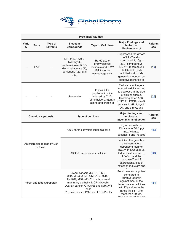

| <b>Preclinical Studies</b>              |                                                                                                                                                                                                                                                                |                               |                                                                                                                  |                                                                                                                                                                                                                               |                                                                                                                                                                                                                                    |                       |  |  |
|-----------------------------------------|----------------------------------------------------------------------------------------------------------------------------------------------------------------------------------------------------------------------------------------------------------------|-------------------------------|------------------------------------------------------------------------------------------------------------------|-------------------------------------------------------------------------------------------------------------------------------------------------------------------------------------------------------------------------------|------------------------------------------------------------------------------------------------------------------------------------------------------------------------------------------------------------------------------------|-----------------------|--|--|
| Varie<br>ty                             | <b>Parts</b>                                                                                                                                                                                                                                                   | Type of<br><b>Extracts</b>    | <b>Bioactive</b><br><b>Compounds</b>                                                                             | <b>Type of Cell Lines</b>                                                                                                                                                                                                     | <b>Major Findings and</b><br><b>Molecular</b><br><b>Mechanisms of</b>                                                                                                                                                              | <b>Referen</b><br>ces |  |  |
|                                         | Fruit                                                                                                                                                                                                                                                          |                               | (2R)-(12Z, 15Z)-2-<br>hydroxy-4-<br>oxoheneicosa-12,15-<br>dien-1-yl acetate (1),<br>persenone A (2) and<br>B(3) | HL-60 acute<br>promyelocytic<br>leukemia and RAW<br>264.7 mouse<br>macrophage cells.                                                                                                                                          | Suppressed the growth<br>of HL-60 cells<br>(compound 1, $IC_{50}$ =<br>33.7; compound 2,<br>$IC_{50} = 1.4$ ; compound<br>33, $IC_{50} = 1.8 \mu M$ ).<br>Inhibited nitric oxide<br>generation induced by<br>lipopolysaccharide in | $[19]$                |  |  |
|                                         |                                                                                                                                                                                                                                                                |                               | Scopoletin                                                                                                       | In vivo: Skin<br>papilloma in mice<br>induced by 7,12-<br>dimethylbenz(a)anthr<br>acene and croton oil                                                                                                                        | Reduced carcinogen-<br>induced toxicity and led<br>to decrease in the size<br>of skin papilloma.<br>Downregulated AhR,<br>CYP1A1, PCNA, stat-3,<br>survivin, MMP-2, cyclin<br>D1, and c-myc, and                                   | [26]                  |  |  |
| <b>Chemical synthesis</b>               |                                                                                                                                                                                                                                                                |                               | <b>Type of cell lines</b>                                                                                        | <b>Major findings and</b><br>molecular<br>mechanisms of action                                                                                                                                                                | <b>Referen</b><br>ces                                                                                                                                                                                                              |                       |  |  |
| Antimicrobial peptide-PaDef<br>defensin |                                                                                                                                                                                                                                                                |                               |                                                                                                                  | K562 chronic myeloid leukemia cells                                                                                                                                                                                           | Cytotoxic with an<br>$IC_{50}$ value of 97.3 $\mu$ g/<br>mL. Activated<br>caspase-8 and induced                                                                                                                                    | [153]                 |  |  |
|                                         |                                                                                                                                                                                                                                                                | MCF-7 breast cancer cell line |                                                                                                                  | Inhibited the growth in<br>a concentration-<br>dependent manner<br>$(IC_{50} = 141.62 \mu g/mL).$<br>Induced cytochrome c,<br>APAF-1, and the<br>caspase 7 and 9<br>expressions, loss of<br>mitochondrial $\Delta \psi m$ and | [143]                                                                                                                                                                                                                              |                       |  |  |
|                                         | Breast cancer: MCF-7, T-47D,<br>MDA-MB-468, MDA-MB-157, SkBr3,<br>Hs578T, MDA-MB-231 cells, normal<br>mammary epithelial MCF-10A cells,<br>Persin and tetrahydropersin<br>Ovarian cancer: OVCAR3 and IGROV-1<br>cells<br>Prostate cancer: PC-3 and LNCaP cells |                               |                                                                                                                  | Persin was more potent<br>compared to<br>tetrahydropersin<br>against most of the<br>tested cancer cell lines<br>with $IC_{50}$ values in the<br>range $15.1 \pm 1.3$ to<br>more than 39 µM.                                   | [154]                                                                                                                                                                                                                              |                       |  |  |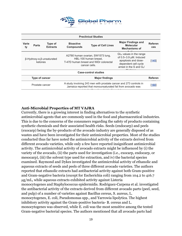

| <b>Preclinical Studies</b> |                                                                                                                                                     |                                                |                                                                                                                       |                             |                                                                                                                                                    |                              |  |  |  |
|----------------------------|-----------------------------------------------------------------------------------------------------------------------------------------------------|------------------------------------------------|-----------------------------------------------------------------------------------------------------------------------|-----------------------------|----------------------------------------------------------------------------------------------------------------------------------------------------|------------------------------|--|--|--|
| Varie<br>ty                | <b>Parts</b>                                                                                                                                        | Type of<br><b>Extracts</b>                     | <b>Bioactive</b><br><b>Compounds</b>                                                                                  | <b>Type of Cell Lines</b>   | <b>Major Findings and</b><br><b>Molecular</b><br><b>Mechanisms of</b>                                                                              | <b>Referen</b><br><b>ces</b> |  |  |  |
|                            | ketones                                                                                                                                             | $\beta$ -Hydroxy- $\alpha, \beta$ -unsaturated | A2780 human ovarian, SW1573 lung,<br>HBL-100 human breast,<br>T-47D human breast and WiDr colorectal<br>cancer cells. |                             | GI <sub>50</sub> values in the range<br>of $0.5-3.9$ $\mu$ M. Induced<br>apoptosis and dose-<br>dependent cell cycle<br>arrest in the S and $G_2/$ | [145]                        |  |  |  |
|                            |                                                                                                                                                     |                                                |                                                                                                                       | <b>Case-control studies</b> |                                                                                                                                                    |                              |  |  |  |
|                            | Type of cancer                                                                                                                                      |                                                |                                                                                                                       | <b>Major findings</b>       |                                                                                                                                                    | <b>Referen</b>               |  |  |  |
|                            | A study involving 243 men with prostate cancer and 273 controls in<br>Prostate cancer<br>Jamaica reported that monounsaturated fat from avocado was |                                                |                                                                                                                       |                             | [160]                                                                                                                                              |                              |  |  |  |

#### **Anti-Microbial Properties of MT VAJRA**

Currently, there is a growing interest in finding alternatives to the synthetic antimicrobial agents that are commonly used in the food and pharmaceutical industries. This is due to the concerns of the consumers regarding the safety of products containing synthetic chemicals and their associated health risks. Seeds (endocarp) and peels (exocarp) being the by-products of the avocado industry are generally disposed of as wastes and have been investigated for their antimicrobial properties. Most of the studies conducted thus far have noted the antimicrobial activity of the extracts derived from different avocado varieties, while only a few have reported insignificant antimicrobial activity. The antimicrobial activity of avocado extracts might be influenced by (i) the variety of the avocado, (ii) the parts used for investigation (i.e., exocarp, endocarp, or mesocarp), (iii) the solvent type used for extraction, and iv) the bacterial species examined. Raymond and Dykes investigated the antimicrobial activity of ethanolic and aqueous extracts of seeds and peels of three different avocado varieties. The authors reported that ethanolic extracts had antibacterial activity against both Gram-positive and Gram-negative bacteria (except for Escherichia coli) ranging from 104.2 to 416.7 μg/mL, while aqueous extracts exhibited activity against Listeria monocytogenes and Staphylococcus epidermidis. Rodriguez-Carpena et al. investigated the antibacterial activity of the extracts derived from different avocado parts (peel, seed, and pulp) of a number of varieties against Bacillus cereus, S. aureus, L. monocytogenes, E. coli, Pseudomonas spp., and Yarrowia lipolytica. The highest inhibitory activity against the Gram-positive bacteria- B. cereus and L. monocytogenes was observed, while E. coli was the most sensitive among the tested Gram-negative bacterial species. The authors mentioned that all avocado parts had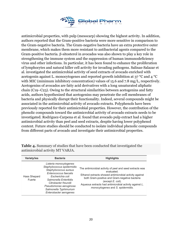

antimicrobial properties, with pulp (mesocarp) showing the highest activity. In addition, authors reported that the Gram-positive bacteria were more sensitive in comparison to the Gram-negative bacteria. The Gram-negative bacteria have an extra protective outer membrane, which makes them more resistant to antibacterial agents compared to the Gram-positive bacteria. β-sitosterol in avocados was also shown to play a key role in strengthening the immune system and the suppression of human immunodeficiency virus and other infections. In particular, it has been found to enhance the proliferation of lymphocytes and natural killer cell activity for invading pathogens. Salinas-Salazar et al. investigated the antimicrobial activity of seed extracts of avocado enriched with acetogenin against L. monocytogenes and reported growth inhibition at 37 °C and 4 °C with MIC (minimum inhibitory concentration) values of 15.6 and 7.8 mg/L, respectively. Acetogenins of avocados are fatty acid derivatives with a long unsaturated aliphatic chain (C19–C23). Owing to the structural similarities between acetogenins and fatty acids, authors hypothesized that acetogenins may penetrate the cell membranes of bacteria and physically disrupt their functionality. Indeed, several compounds might be associated in the antimicrobial activity of avocado extracts. Polyphenols have been previously reported for their antimicrobial properties. However, the contribution of the phenolic compounds toward the antimicrobial activity of avocado extracts needs to be investigated. Rodriguez-Carpena et al. found that avocado pulp extract had a higher antimicrobial activity than peel and seed extracts, despite having lower polyphenol content. Future studies should be conducted to isolate individual phenolic compounds from different parts of avocado and investigate their antimicrobial properties.

| <b>Variety/ies</b>     | <b>Bacteria</b>                                                                                                                                                                                                                                            | <b>Highlights</b>                                                                                                                                                                                                                                                                                     |
|------------------------|------------------------------------------------------------------------------------------------------------------------------------------------------------------------------------------------------------------------------------------------------------|-------------------------------------------------------------------------------------------------------------------------------------------------------------------------------------------------------------------------------------------------------------------------------------------------------|
| Hass Shepard<br>Fuerte | Listeria monocytogenes<br>Staphylococcus epidermidis<br>Staphylococcus aureus<br>Enterococcus faecalis<br>Escherichia coli<br>Salmonella Enteritidis<br>Citrobacter freundii<br>Pseudomonas aeruginosa<br>Salmonella Typhimurium<br>Enterobacter aerogenes | The antimicrobial activity of peel and seed extracts was<br>evaluated.<br>Ethanol extracts showed antimicrobial activity against<br>both Gram-positive and Gram-negative bacteria<br>(except E. coli).<br>Aqueous extracts had antimicrobial activity against L.<br>monocytogenes and S. epidermidis. |

**Table 4.** Summary of studies that have been conducted that investigated the antimicrobial activity MT VARJA.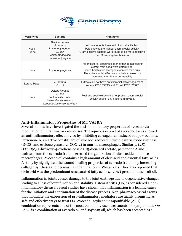

| Variety/ies           | <b>Bacteria</b>                                                                                          | <b>Highlights</b>                                                                                                                                                                                                                     |
|-----------------------|----------------------------------------------------------------------------------------------------------|---------------------------------------------------------------------------------------------------------------------------------------------------------------------------------------------------------------------------------------|
| <b>Hass</b><br>Fuerte | Bacillus cereus<br>S. aureus<br>L. monocytogenes<br>E. coli<br>Pseudomonas spp.<br>Yarrowia lipolytica   | All components have antimicrobial activities.<br>Pulp showed the highest antimicrobial activity.<br>Gram-positive bacteria were found to be more sensitive<br>than Gram-negative bacteria.                                            |
| Hass                  | L. monocytogenes                                                                                         | The antilisterial properties of an enriched acetogenin<br>extract from seed were determined.<br>Seeds had higher acetogenin content than pulp.<br>The antimicrobial effect was probably caused by<br>increased membrane permeability. |
| Lorena Hass           | S. aureus<br>E. coli                                                                                     | Extracts did not have antimicrobial activity against S.<br>aureus ATCC 29213 and E. coli ATCC 25922                                                                                                                                   |
| Hass                  | Listeria innocua<br>E. coli<br>Lactobacillus sakei<br>Weissella viridescens<br>Leuconostoc mesenteroides | Peel and seed extracts did not present antimicrobial<br>activity against any bacteria analyzed.                                                                                                                                       |

#### **Anti-Inflammatory Properties of MT VAJRA**

Several studies have investigated the anti-inflammatory properties of avocado via modulation of inflammatory responses. The aqueous extract of avocado leaves showed an anti-inflammatory effect in vivo by inhibiting carrageenan-induced rat paw oedema. Persenone A, an active constituent of avocado, reduced inducible nitric oxide synthase (iNOS) and cyclooxygenase-2 (COX-2) in murine macrophages. Similarly, (2*R*)- (12*Z*,15*Z*)-2-hydroxy-4-oxoheneicosa-12,15-dien-1-yl acetate, persenone A and B isolated from the avocado fruit, decreased the generation of nitric oxide in mouse macrophages. Avocado oil contains a high amount of oleic acid and essential fatty acids. A study by highlighted the wound-healing properties of avocado fruit oil by increasing collagen synthesis and decreasing inflammation in Wistar rats. They also reported that oleic acid was the predominant unsaturated fatty acid (47.20%) present in the fruit oil.

Inflammation in joints causes damage to the joint cartilage due to degenerative changes leading to a loss of joint function and stability. Osteoarthritis (OA) is considered a noninflammatory disease; recent studies have shown that inflammation is a leading cause for the initiation and continuation of the disease process. Non-pharmacological agents that modulate the expression of pro-inflammatory mediators are highly promising as safe and effective ways to treat OA. Avocado–soybean unsaponifiable (ASU) combination represents one of the most commonly used treatments for symptomatic OA . ASU is a combination of avocado oil and soybean oil, which has been accepted as a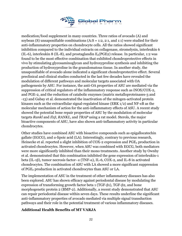

medication/food supplement in many countries. Three ratios of avocado (A) and soybean (S) unsaponifiable combinations  $(A: S = 1:2, 2:1, 2:1)$  were studied for their anti-inflammatory properties on chondrocyte cells. All the ratios showed significant inhibition compared to the individual extracts on collagenase, stromelysin, interleukin 6 (IL-6), interleukin 8 (IL-8), and prostaglandin  $E_2(PGE2)$  release. In particular, 1:2 was found to be the most effective combination that exhibited chondroprotective effects in vivo by stimulating glycosaminoglycan and hydroxyproline synthesis and inhibiting the production of hydroxyproline in the granulomatous tissue. In another study, the unsaponifiable of avocado alone indicated a significant chondroprotective effect. Several preclinical and clinical studies conducted in the last few decades have revealed the modulation of different pathways and molecular targets associated with OA pathogenesis by ASU. For instance, the anti-OA properties of ASU are mediated via the suppression of critical regulators of the inflammatory response such as iNOS/COX-2, and PGE-2, and the reduction of catabolic enzymes (matrix metalloproteinases-3 and -13) and Gabay et al. demonstrated the inactivation of the mitogen-activated protein kinases such as the extracellular signal-regulated kinase (ERK 1/2) and NF-*κ*B as the molecular mechanism of action for the anti-inflammatory effects of ASU. A recent study showed the potential bone repair properties of ASU by the modulation of molecular targets *Rankl* and *Il1β*, *RANKL*, and *TRAP* using a rat model. Sterols, the major bioactive components of ASU, have also shown anti-inflammatory activity in particular chondrocytes.

Other studies have combined ASU with bioactive compounds such as epigallocatechin gallate (EGCG), and  $\alpha$ -lipoic acid (LA). Interestingly, contrary to previous research, Heinecke et al. reported a slight inhibition of COX-2 expression and PGE<sub>2</sub> production in activated chondrocytes. However, when ASU was combined with EGCG, both mediators were more significantly inhibited than their mono treatments. Another study by Ownby et al. demonstrated that this combination inhibited the gene expression of interleukin-1 beta (IL-1β), tumor necrosis factor- α (TNF-α), IL-6, COX-2, and IL-8 in activated chondrocytes. The combination of ASU with LA showed a more significant suppression of PGE2 production in activated chondrocytes than ASU or LA.

The implementation of ASU in the treatment of other inflammatory diseases has also been explored. ASU has shown efficacy against periodontal disease by modulating the expression of transforming growth factor beta 1 (TGF-β1), TGF-β2, and bone morphogenetic protein 2 (BMP-2). Additionally, a recent study demonstrated that ASU can repair periodontal disease within seven days. These results underline the significant anti-inflammatory properties of avocado mediated via multiple signal transduction pathways and their role in the potential treatment of various inflammatory diseases.

## **Additional Health Benefits of MT VARJA**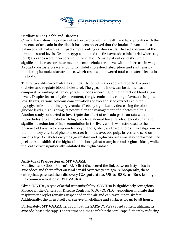

Cardiovascular Health and Diabetes

Clinical have shown a positive effect on cardiovascular health and lipid profiles with the presence of avocado in the diet. It has been observed that the intake of avocado in a balanced diet had a great impact on preventing cardiovascular diseases because of the low cholesterol levels. Grant in 1959 conducted the first avocado clinical trial where 0.5 to 1.5 avocados were incorporated in the diet of 16 male patients and showed a significant decrease or the same total serum cholesterol level with no increase in weight. Avocado phytosterols were found to inhibit cholesterol absorption and synthesis by mimicking its molecular structure, which resulted in lowered total cholesterol levels in the body.

The indigestible carbohydrates abundantly found in avocado are reported to prevent diabetes and regulate blood cholesterol. The glycemic index can be defined as a comparative ranking of carbohydrate in foods according to their effect on blood sugar levels. Despite its carbohydrate content, the glycemic index rating of avocado is quite low. In rats, various aqueous concentrations of avocado seed extract exhibited hypoglycemic and antihyperglycemic effects by significantly decreasing the blood glucose levels, highlighting its potential in the management of diabetes mellitus. Another study conducted to investigate the effect of avocado paste on rats with a hypercholesterolemic diet with high fructose showed lower levels of blood sugar and significant reduction of fat accumulation in the liver, which was attributed to the presence of bioactive compounds (polyphenols, fiber, and carotenoids). Investigation on the inhibitory effects of phenolic extract from the avocado pulp, leaves, and seed on various type 2 diabetes enzymes (α-amylase and α-glucosidase) was also performed. The peel extract exhibited the highest inhibition against α-amylase and α-glucosidase, while the leaf extract significantly inhibited the  $\alpha$ -glucosidase.

#### **Anti-Viral Properties of MT VAJRA**

Mettitech and Global Pharm's R&D first discovered the link between fatty acids in avocadoes and their effect on viral capsid over two years ago. Subsequently, these enterprises patented their discovery **(US patent no. US 10,888,105 B2),** leading to the commercialization of **MT VAJRA**

Given COVID19's type of aerial transmissibility, COVID19 is significantly contagious. Moreover, the Centers for Disease Control's (CDC) COVID19 guidelines indicate that respiratory droplet remains suspended in the air and can travel up to six feet. Additionally, the virus itself can survive on clothing and surfaces for up to 48 hours.

Fortunately, **MT VAJRA** helps combat the SARS-COV2's capsid content utilizing its avocado-based therapy. The treatment aims to inhibit the viral capsid, thereby reducing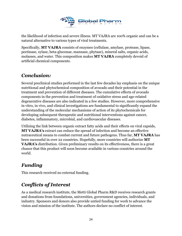

the likelihood of infection and severe illness. MT VAJRA are 100% organic and can be a natural alternative to various types of viral treatments.

Specifically, **MT VAJRA** consists of enzymes (cellulase, amylase, protease, lipase, pectinase, xylase, beta-gluconae, mannase, phytase), mineral salts, organic acids, molasses, and water. This composition makes **MT VAJRA** completely devoid of artificial chemical components.

# *Conclusion:*

Several preclinical studies performed in the last few decades lay emphasis on the unique nutritional and phytochemical composition of avocado and their potential in the treatment and prevention of different diseases. The cumulative effects of avocado components in the prevention and treatment of oxidative stress and age-related degenerative diseases are also indicated in a few studies. However, more comprehensive in vitro, in vivo, and clinical investigations are fundamental to significantly expand the understanding of the molecular mechanisms of action of its phytochemicals for developing subsequent therapeutic and nutritional interventions against cancer, diabetes, inflammatory, microbial, and cardiovascular diseases.

Utilizing the link between organic extract fatty acids and their effects on viral capsids, **MT VAJRA's** extract can reduce the spread of infection and become an effective nutraceutical means to combat current and future pathogens. Thus far, **MT VAJRA** has been successful in over 22 countries. Hopefully, more countries will authorize **MT VAJRA's** distribution. Given preliminary results on its effectiveness, there is a great chance that this product will soon become available in various countries around the world.

# *Funding*

This research received no external funding.

# *Conflicts of Interest*

As a medical research institute, the Metti Global Pharm R&D receives research grants and donations from foundations, universities, government agencies, individuals, and industry. Sponsors and donors also provide untied funding for work to advance the vision and mission of the institute. The authors declare no conflict of interest.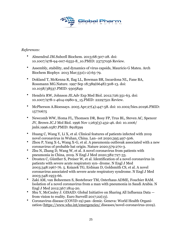

#### *References:*

- Almendral JM.Subcell Biochem. 2013;68:307-28. doi: 10.1007/978-94-007-6552-8\_10.PMID: 23737056 Review.
- Assembly, stability, and dynamics of virus capsids, Mauricio G Mateu. Arch Biochem Biophys 2013 Mar;531(1-2):65-79.
- Dokland T, McKenna R, Ilag LL, Bowman BR, Incardona NL, Fane BA, Rossmann MG.Nature. 1997 Sep 18;389(6648):308-13. doi: 10.1038/38537.PMID: 9305849
- Hendrix RW, Johnson JE.Adv Exp Med Biol. 2012;726:351-63. doi: 10.1007/978-1-4614-0980-9\_15.PMID: 22297521 Review.
- McPherson A.Bioessays. 2005 Apr;27(4):447-58. doi: 10.1002/bies.20196.PMID: 15770675
- Newcomb WW, Homa FL, Thomsen DR, Booy FP, Trus BL, Steven AC, Spencer JV, Brown JC.J Mol Biol. 1996 Nov 1;263(3):432-46. doi: 10.1006/ jmbi.1996.0587.PMID: 8918599
- Huang C, Wang Y, Li X, et al. Clinical features of patients infected with 2019 novel coronavirus in Wuhan, China. Lan- cet 2020;395:497-506.
- Zhou P, Yang X-L, Wang X-G, et al. A pneumonia outbreak associated with a new coronavirus of probable bat origin. Nature 2020;579:270-3.
- Zhu N, Zhang D, Wang W, et al. A novel coronavirus from patients with pneumonia in China, 2019. N Engl J Med 2020;382:727-33.
- Drosten C, Günther S, Preiser W, et al. Identification of a novel coronavirus in patients with severe acute respiratory syn- drome. N Engl J Med 2003;348:1967-76. 5. Ksiazek TG, Erdman D, Goldsmith CS, et al. A novel coronavirus associated with severe acute respiratory syndrome. N Engl J Med 2003;348:1953-66.
- Zaki AM, van Boheemen S, Bestebroer TM, Osterhaus ADME, Fouchier RAM. Isolation of a novel coronavirus from a man with pneumonia in Saudi Arabia. N Engl J Med 2012;367:1814-20.
- Shu Y, McCauley J. GISAID: Global Initiative on Sharing All Influenza Data from vision to reality. Euro Surveill 2017;22(13).
- Coronavirus disease (COVID-19) pan- demic. Geneva: World Health Organization (<https://www.who.int/emergencies/> diseases/novel-coronavirus-2019).